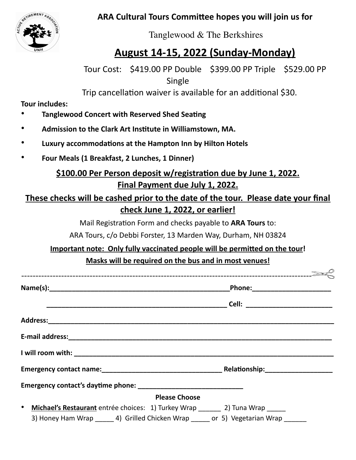**ARA Cultural Tours Committee hopes you will join us for** 



Tanglewood & The Berkshires

# **August 14-15, 2022 (Sunday-Monday)**

Tour Cost: \$419.00 PP Double \$399.00 PP Triple \$529.00 PP Single

Trip cancellation waiver is available for an additional \$30.

**Tour includes:** 

- **Tanglewood Concert with Reserved Shed Seating**
- Admission to the Clark Art Institute in Williamstown, MA.
- **Luxury accommodations at the Hampton Inn by Hilton Hotels**
- **Four Meals (1 Breakfast, 2 Lunches, 1 Dinner)**

### \$100.00 Per Person deposit w/registration due by June 1, 2022. **Final Payment due July 1, 2022.**

#### **These checks will be cashed prior to the date of the tour. Please date your final check June 1, 2022, or earlier!**

Mail Registration Form and checks payable to **ARA Tours** to:

ARA Tours, c/o Debbi Forster, 13 Marden Way, Durham, NH 03824

## **Important note: Only fully vaccinated people will be permitted on the tour!**

#### **Masks will be required on the bus and in most venues!**

| <b>Please Choose</b>                                                                   |  |  |
|----------------------------------------------------------------------------------------|--|--|
| • Michael's Restaurant entrée choices: 1) Turkey Wrap ______ 2) Tuna Wrap _____        |  |  |
| 3) Honey Ham Wrap _______ 4) Grilled Chicken Wrap ______ or 5) Vegetarian Wrap _______ |  |  |